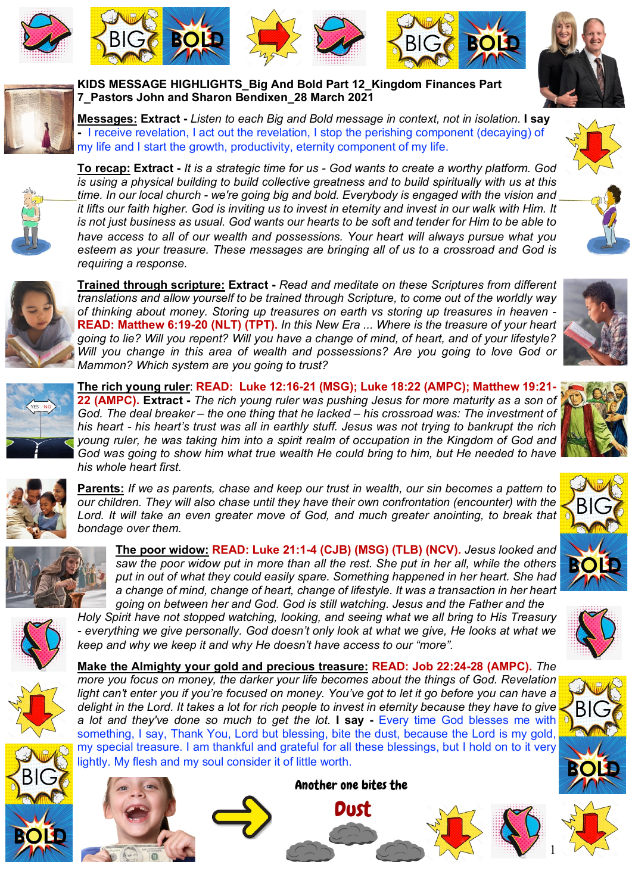









**KIDS MESSAGE HIGHLIGHTS\_Big And Bold Part 12\_Kingdom Finances Part 7\_Pastors John and Sharon Bendixen\_28 March 2021** 

**Messages: Extract -** *Listen to each Big and Bold message in context, not in isolation.* **I say -** I receive revelation, I act out the revelation, I stop the perishing component (decaying) of my life and I start the growth, productivity, eternity component of my life.



**To recap: Extract -** *It is a strategic time for us - God wants to create a worthy platform. God is using a physical building to build collective greatness and to build spiritually with us at this time. In our local church - we're going big and bold. Everybody is engaged with the vision and it lifts our faith higher. God is inviting us to invest in eternity and invest in our walk with Him. It is not just business as usual. God wants our hearts to be soft and tender for Him to be able to have access to all of our wealth and possessions. Your heart will always pursue what you esteem as your treasure. These messages are bringing all of us to a crossroad and God is requiring a response.* 



**Trained through scripture: Extract -** *Read and meditate on these Scriptures from different translations and allow yourself to be trained through Scripture, to come out of the worldly way of thinking about money. Storing up treasures on earth vs storing up treasures in heaven -* **READ: Matthew 6:19-20 (NLT) (TPT).** *In this New Era ... Where is the treasure of your heart going to lie? Will you repent? Will you have a change of mind, of heart, and of your lifestyle? Will you change in this area of wealth and possessions? Are you going to love God or Mammon? Which system are you going to trust?* 



**The rich young ruler**: **READ: Luke 12:16-21 (MSG); Luke 18:22 (AMPC); Matthew 19:21- 22 (AMPC). Extract -** *The rich young ruler was pushing Jesus for more maturity as a son of God. The deal breaker – the one thing that he lacked – his crossroad was: The investment of his heart - his heart's trust was all in earthly stuff. Jesus was not trying to bankrupt the rich young ruler, he was taking him into a spirit realm of occupation in the Kingdom of God and God was going to show him what true wealth He could bring to him, but He needed to have his whole heart first.* 



**Parents:** *If we as parents, chase and keep our trust in wealth, our sin becomes a pattern to our children. They will also chase until they have their own confrontation (encounter) with the*  Lord. It will take an even greater move of God, and much greater anointing, to break that *bondage over them.* 



**The poor widow: READ: Luke 21:1-4 (CJB) (MSG) (TLB) (NCV).** *Jesus looked and saw the poor widow put in more than all the rest. She put in her all, while the others put in out of what they could easily spare. Something happened in her heart. She had a change of mind, change of heart, change of lifestyle. It was a transaction in her heart going on between her and God. God is still watching. Jesus and the Father and the* 

*Holy Spirit have not stopped watching, looking, and seeing what we all bring to His Treasury - everything we give personally. God doesn't only look at what we give, He looks at what we keep and why we keep it and why He doesn't have access to our "more".*

**Make the Almighty your gold and precious treasure: READ: Job 22:24-28 (AMPC).** *The more you focus on money, the darker your life becomes about the things of God. Revelation*  light can't enter you if you're focused on money. You've got to let it go before you can have a *delight in the Lord. It takes a lot for rich people to invest in eternity because they have to give a lot and they've done so much to get the lot.* **I say -** Every time God blesses me with something, I say, Thank You, Lord but blessing, bite the dust, because the Lord is my gold, my special treasure. I am thankful and grateful for all these blessings, but I hold on to it very lightly. My flesh and my soul consider it of little worth.







Another one bites the